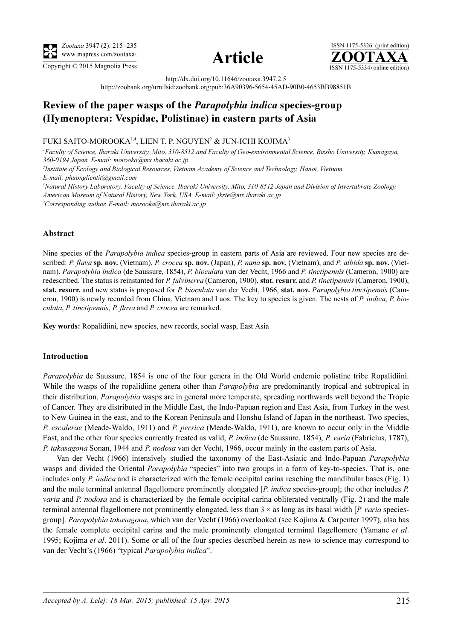



ISSN 1175-5326 (print edition)<br> $\overline{{\bf ZOOTAXA}}$ Copyright  $\odot$  2015 Magnolia Press  $\overline{\text{ISSN 1175-5334 (online edition)}}$ 

http://dx.doi.org/10.11646/zootaxa.3947.2.5

http://zoobank.org/urn:lsid:zoobank.org:pub:36A90396-5654-45AD-90B0-4653BB98851B

# Review of the paper wasps of the Parapolybia indica species-group (Hymenoptera: Vespidae, Polistinae) in eastern parts of Asia

### FUKI SAITO-MOROOKA14, LIEN T. P. NGUYEN<sup>2</sup> & JUN-ICHI KOJIMA<sup>3</sup>

<sup>1</sup>Faculty of Science, Ibaraki University, Mito, 310-8512 and Faculty of Geo-environmental Science, Rissho University, Kumagaya, 360-0194 Japan. E-mail: morooka@mx.ibaraki.ac.jp

2 Institute of Ecology and Biological Resources, Vietnam Academy of Science and Technology, Hanoi, Vietnam. E-mail: phuonglientit@gmail.com

3 Natural History Laboratory, Faculty of Science, Ibaraki University, Mito, 310-8512 Japan and Division of Invertabrate Zoology, American Museum of Natural History, New York, USA. E-mail: jkrte@mx.ibaraki.ac.jp

4 Corresponding author. E-mail: morooka@mx.ibaraki.ac.jp

## Abstract

Nine species of the *Parapolybia indica* species-group in eastern parts of Asia are reviewed. Four new species are described: P. flava sp. nov. (Vietnam), P. crocea sp. nov. (Japan), P. nana sp. nov. (Vietnam), and P. albida sp. nov. (Vietnam). Parapolybia indica (de Saussure, 1854), P. bioculata van der Vecht, 1966 and P. tinctipennis (Cameron, 1900) are redescribed. The status is reinstanted for P. fulvinerva (Cameron, 1900), stat. resurr. and P. tinctipennis (Cameron, 1900), stat. resurr. and new status is proposed for P. bioculata van der Vecht, 1966, stat. nov. Parapolybia tinctipennis (Cameron, 1900) is newly recorded from China, Vietnam and Laos. The key to species is given. The nests of P. indica, P. bioculata, P. tinctipennis, P. flava and P. crocea are remarked.

Key words: Ropalidiini, new species, new records, social wasp, East Asia

#### Introduction

Parapolybia de Saussure, 1854 is one of the four genera in the Old World endemic polistine tribe Ropalidiini. While the wasps of the ropalidiine genera other than *Parapolybia* are predominantly tropical and subtropical in their distribution, Parapolybia wasps are in general more temperate, spreading northwards well beyond the Tropic of Cancer. They are distributed in the Middle East, the Indo-Papuan region and East Asia, from Turkey in the west to New Guinea in the east, and to the Korean Peninsula and Honshu Island of Japan in the northeast. Two species, P. escalerae (Meade-Waldo, 1911) and P. persica (Meade-Waldo, 1911), are known to occur only in the Middle East, and the other four species currently treated as valid, P. indica (de Saussure, 1854), P. varia (Fabricius, 1787), P. takasagona Sonan, 1944 and P. nodosa van der Vecht, 1966, occur mainly in the eastern parts of Asia.

Van der Vecht (1966) intensively studied the taxonomy of the East-Asiatic and Indo-Papuan Parapolybia wasps and divided the Oriental *Parapolybia* "species" into two groups in a form of key-to-species. That is, one includes only  $P$ . indica and is characterized with the female occipital carina reaching the mandibular bases (Fig. 1) and the male terminal antennal flagellomere prominently elongated  $[P$ . *indica* species-group]; the other includes  $P$ . varia and P. nodosa and is characterized by the female occipital carina obliterated ventrally (Fig. 2) and the male terminal antennal flagellomere not prominently elongated, less than  $3 \times$  as long as its basal width [P. varia speciesgroup]. Parapolybia takasagona, which van der Vecht (1966) overlooked (see Kojima & Carpenter 1997), also has the female complete occipital carina and the male prominently elongated terminal flagellomere (Yamane et al. 1995; Kojima et al. 2011). Some or all of the four species described herein as new to science may correspond to van der Vecht's (1966) "typical Parapolybia indica".